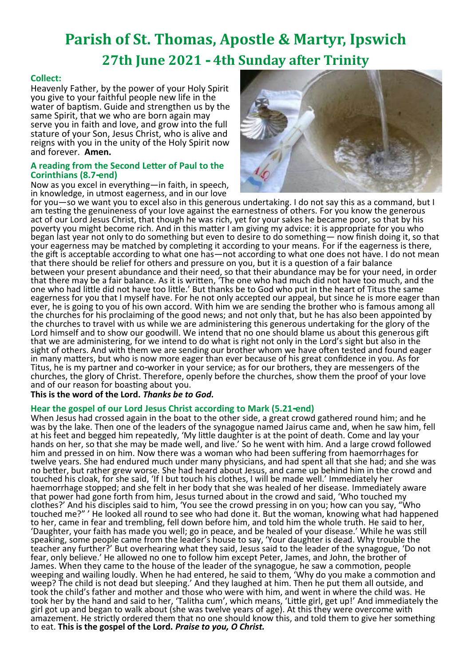# **Parish of St. Thomas, Apostle & Martyr, Ipswich 27th June 2021 - 4th Sunday after Trinity**

#### **Collect:**

Heavenly Father, by the power of your Holy Spirit you give to your faithful people new life in the water of baptism. Guide and strengthen us by the same Spirit, that we who are born again may serve you in faith and love, and grow into the full stature of your Son, Jesus Christ, who is alive and reigns with you in the unity of the Holy Spirit now and forever. **Amen.**

#### **A reading from the Second Letter of Paul to the Corinthians (8.7-end)**

Now as you excel in everything—in faith, in speech, in knowledge, in utmost eagerness, and in our love



for you—so we want you to excel also in this generous undertaking. I do not say this as a command, but I am testing the genuineness of your love against the earnestness of others. For you know the generous act of our Lord Jesus Christ, that though he was rich, yet for your sakes he became poor, so that by his poverty you might become rich. And in this matter I am giving my advice: it is appropriate for you who began last year not only to do something but even to desire to do something— now finish doing it, so that your eagerness may be matched by completing it according to your means. For if the eagerness is there, the gift is acceptable according to what one has—not according to what one does not have. I do not mean that there should be relief for others and pressure on you, but it is a question of a fair balance between your present abundance and their need, so that their abundance may be for your need, in order that there may be a fair balance. As it is written, 'The one who had much did not have too much, and the one who had little did not have too little.' But thanks be to God who put in the heart of Titus the same eagerness for you that I myself have. For he not only accepted our appeal, but since he is more eager than ever, he is going to you of his own accord. With him we are sending the brother who is famous among all the churches for his proclaiming of the good news; and not only that, but he has also been appointed by the churches to travel with us while we are administering this generous undertaking for the glory of the Lord himself and to show our goodwill. We intend that no one should blame us about this generous gift that we are administering, for we intend to do what is right not only in the Lord's sight but also in the sight of others. And with them we are sending our brother whom we have often tested and found eager in many matters, but who is now more eager than ever because of his great confidence in you. As for Titus, he is my partner and co-worker in your service; as for our brothers, they are messengers of the churches, the glory of Christ. Therefore, openly before the churches, show them the proof of your love and of our reason for boasting about you.

## **This is the word of the Lord.** *Thanks be to God.*

#### **Hear the gospel of our Lord Jesus Christ according to Mark (5.21-end)**

When Jesus had crossed again in the boat to the other side, a great crowd gathered round him; and he was by the lake. Then one of the leaders of the synagogue named Jairus came and, when he saw him, fell at his feet and begged him repeatedly, 'My little daughter is at the point of death. Come and lay your hands on her, so that she may be made well, and live.' So he went with him. And a large crowd followed him and pressed in on him. Now there was a woman who had been suffering from haemorrhages for twelve years. She had endured much under many physicians, and had spent all that she had; and she was no better, but rather grew worse. She had heard about Jesus, and came up behind him in the crowd and touched his cloak, for she said, 'If I but touch his clothes, I will be made well.' Immediately her haemorrhage stopped; and she felt in her body that she was healed of her disease. Immediately aware that power had gone forth from him, Jesus turned about in the crowd and said, 'Who touched my clothes?' And his disciples said to him, 'You see the crowd pressing in on you; how can you say, "Who touched me?" ' He looked all round to see who had done it. But the woman, knowing what had happened to her, came in fear and trembling, fell down before him, and told him the whole truth. He said to her, 'Daughter, your faith has made you well; go in peace, and be healed of your disease.' While he was still speaking, some people came from the leader's house to say, 'Your daughter is dead. Why trouble the teacher any further?' But overhearing what they said, Jesus said to the leader of the synagogue, 'Do not fear, only believe.' He allowed no one to follow him except Peter, James, and John, the brother of James. When they came to the house of the leader of the synagogue, he saw a commotion, people weeping and wailing loudly. When he had entered, he said to them, 'Why do you make a commotion and weep? The child is not dead but sleeping.' And they laughed at him. Then he put them all outside, and took the child's father and mother and those who were with him, and went in where the child was. He took her by the hand and said to her, 'Talitha cum', which means, 'Little girl, get up!' And immediately the girl got up and began to walk about (she was twelve years of age). At this they were overcome with amazement. He strictly ordered them that no one should know this, and told them to give her something to eat. **This is the gospel of the Lord.** *Praise to you, O Christ.*